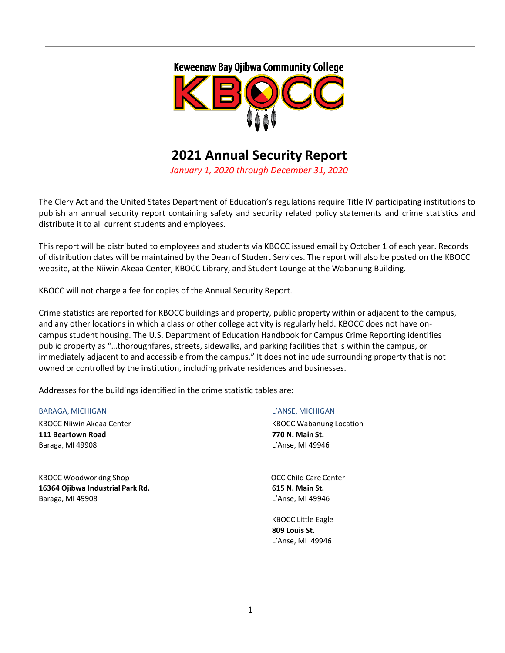



# **2021 Annual Security Report**

*January 1, 2020 through December 31, 2020*

The Clery Act and the United States Department of Education's regulations require Title IV participating institutions to publish an annual security report containing safety and security related policy statements and crime statistics and distribute it to all current students and employees.

This report will be distributed to employees and students via KBOCC issued email by October 1 of each year. Records of distribution dates will be maintained by the Dean of Student Services. The report will also be posted on the KBOCC website, at the Niiwin Akeaa Center, KBOCC Library, and Student Lounge at the Wabanung Building.

KBOCC will not charge a fee for copies of the Annual Security Report.

Crime statistics are reported for KBOCC buildings and property, public property within or adjacent to the campus, and any other locations in which a class or other college activity is regularly held. KBOCC does not have oncampus student housing. The U.S. Department of Education Handbook for Campus Crime Reporting identifies public property as "…thoroughfares, streets, sidewalks, and parking facilities that is within the campus, or immediately adjacent to and accessible from the campus." It does not include surrounding property that is not owned or controlled by the institution, including private residences and businesses.

Addresses for the buildings identified in the crime statistic tables are:

#### BARAGA, MICHIGAN L'ANSE, MICHIGAN

KBOCC Niiwin Akeaa Center **KBOCC Wabanung Location** KBOCC Wabanung Location **111 Beartown Road 770 N. Main St.** Baraga, MI 49908 L'Anse, MI 49946

KBOCC Woodworking Shop Control Control Control Control Control Control Control Control Control Control Control Control Control Control Control Control Control Control Control Control Control Control Control Control Control **16364 Ojibwa Industrial Park Rd. 615 N. Main St.** Baraga, MI 49908 L'Anse, MI 49946

KBOCC Little Eagle **809 Louis St.** L'Anse, MI 49946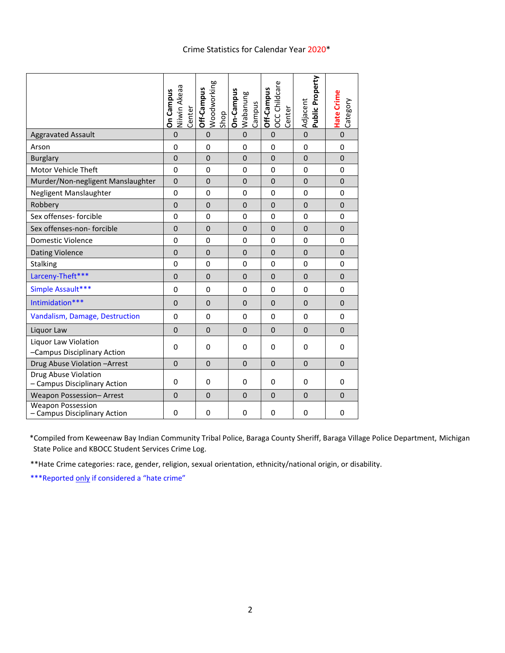# Crime Statistics for Calendar Year 2020\*

|                                                          | Niiwin Akeaa<br>On Campus<br>Center | Woodworking<br>Off-Campus<br>Shop | On-Campus<br>Wabanung<br>Campus | OCC Childcare<br>Off-Campus<br>Center | Public Property<br>Adjacent | Hate Crime<br>Category |
|----------------------------------------------------------|-------------------------------------|-----------------------------------|---------------------------------|---------------------------------------|-----------------------------|------------------------|
| <b>Aggravated Assault</b>                                | $\mathbf 0$                         | $\mathbf 0$                       | $\mathbf 0$                     | $\mathbf 0$                           | $\mathbf 0$                 | $\mathbf 0$            |
| Arson                                                    | 0                                   | 0                                 | 0                               | $\mathbf 0$                           | $\mathbf 0$                 | 0                      |
| <b>Burglary</b>                                          | $\mathbf 0$                         | $\mathbf 0$                       | $\mathbf 0$                     | $\mathbf 0$                           | $\mathbf 0$                 | $\mathbf 0$            |
| Motor Vehicle Theft                                      | $\Omega$                            | $\Omega$                          | $\Omega$                        | $\mathbf 0$                           | 0                           | 0                      |
| Murder/Non-negligent Manslaughter                        | $\mathbf 0$                         | $\mathbf 0$                       | $\mathbf 0$                     | $\Omega$                              | $\mathbf 0$                 | $\mathbf 0$            |
| Negligent Manslaughter                                   | $\mathbf 0$                         | 0                                 | 0                               | 0                                     | 0                           | 0                      |
| Robbery                                                  | $\mathbf 0$                         | $\mathbf 0$                       | $\mathbf 0$                     | $\Omega$                              | $\mathbf 0$                 | $\mathbf 0$            |
| Sex offenses- forcible                                   | $\mathbf 0$                         | $\mathbf 0$                       | 0                               | $\mathbf 0$                           | $\mathbf 0$                 | 0                      |
| Sex offenses-non- forcible                               | $\Omega$                            | $\Omega$                          | $\Omega$                        | $\Omega$                              | $\Omega$                    | $\Omega$               |
| <b>Domestic Violence</b>                                 | 0                                   | $\mathbf 0$                       | 0                               | 0                                     | $\mathbf 0$                 | 0                      |
| <b>Dating Violence</b>                                   | $\mathbf{0}$                        | $\Omega$                          | $\mathbf{0}$                    | $\mathbf{0}$                          | $\mathbf{0}$                | $\overline{0}$         |
| <b>Stalking</b>                                          | 0                                   | $\mathbf 0$                       | 0                               | 0                                     | 0                           | 0                      |
| Larceny-Theft***                                         | $\mathbf 0$                         | $\mathbf 0$                       | $\mathbf 0$                     | $\mathbf{0}$                          | $\overline{0}$              | $\mathbf 0$            |
| Simple Assault***                                        | $\mathbf 0$                         | $\Omega$                          | $\mathbf 0$                     | $\mathbf 0$                           | $\overline{0}$              | 0                      |
| Intimidation***                                          | $\Omega$                            | $\overline{0}$                    | $\mathbf{0}$                    | $\Omega$                              | $\Omega$                    | $\overline{0}$         |
| Vandalism, Damage, Destruction                           | $\Omega$                            | $\Omega$                          | $\Omega$                        | $\Omega$                              | $\Omega$                    | 0                      |
| Liquor Law                                               | $\Omega$                            | $\mathbf 0$                       | $\Omega$                        | $\Omega$                              | $\mathbf 0$                 | $\Omega$               |
| Liquor Law Violation<br>-Campus Disciplinary Action      | 0                                   | $\mathbf 0$                       | 0                               | 0                                     | 0                           | 0                      |
| Drug Abuse Violation - Arrest                            | $\Omega$                            | $\overline{0}$                    | $\Omega$                        | $\mathbf{0}$                          | $\Omega$                    | $\Omega$               |
| Drug Abuse Violation<br>- Campus Disciplinary Action     | $\Omega$                            | $\Omega$                          | $\Omega$                        | $\Omega$                              | $\Omega$                    | $\Omega$               |
| Weapon Possession-Arrest                                 | $\mathbf 0$                         | $\mathbf 0$                       | $\mathbf{0}$                    | $\Omega$                              | $\mathbf 0$                 | $\Omega$               |
| <b>Weapon Possession</b><br>- Campus Disciplinary Action | 0                                   | 0                                 | 0                               | 0                                     | 0                           | 0                      |

\*Compiled from Keweenaw Bay Indian Community Tribal Police, Baraga County Sheriff, Baraga Village Police Department, Michigan State Police and KBOCC Student Services Crime Log.

\*\*Hate Crime categories: race, gender, religion, sexual orientation, ethnicity/national origin, or disability.

\*\*\*Reported only if considered a "hate crime"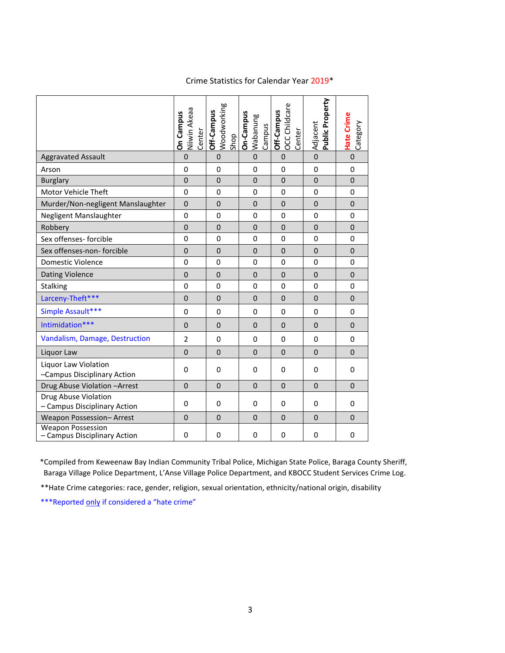# Crime Statistics for Calendar Year 2019\*

|                                                          | Niiwin Akeaa<br><b>On Campus</b><br>Center | Woodworking<br>Off-Campus | On-Campus<br>Wabanung<br>Campus | OCC Childcare<br>Off-Campus<br>Center | Public Property<br>Adjacent | <b>Hate Crime</b><br>Category |
|----------------------------------------------------------|--------------------------------------------|---------------------------|---------------------------------|---------------------------------------|-----------------------------|-------------------------------|
| <b>Aggravated Assault</b>                                | 0                                          | $\Omega$                  | $\overline{0}$                  | $\mathbf 0$                           | $\mathbf 0$                 | $\mathbf 0$                   |
| Arson                                                    | 0                                          | $\mathbf 0$               | 0                               | $\mathbf 0$                           | 0                           | 0                             |
| <b>Burglary</b>                                          | $\mathbf 0$                                | $\mathbf 0$               | $\mathbf 0$                     | $\mathbf 0$                           | $\mathbf 0$                 | 0                             |
| Motor Vehicle Theft                                      | $\Omega$                                   | $\mathbf{0}$              | 0                               | $\Omega$                              | 0                           | 0                             |
| Murder/Non-negligent Manslaughter                        | $\mathbf 0$                                | $\mathbf 0$               | 0                               | $\mathbf 0$                           | 0                           | 0                             |
| Negligent Manslaughter                                   | 0                                          | $\mathbf 0$               | 0                               | $\mathbf{0}$                          | 0                           | 0                             |
| Robbery                                                  | $\mathbf 0$                                | $\mathbf 0$               | $\mathbf 0$                     | $\mathbf 0$                           | $\mathbf 0$                 | 0                             |
| Sex offenses- forcible                                   | 0                                          | $\mathbf 0$               | 0                               | $\mathbf{0}$                          | 0                           | 0                             |
| Sex offenses-non- forcible                               | $\mathbf 0$                                | $\mathbf 0$               | $\mathbf 0$                     | $\mathbf 0$                           | $\mathbf 0$                 | 0                             |
| <b>Domestic Violence</b>                                 | 0                                          | $\mathbf 0$               | 0                               | $\mathbf 0$                           | 0                           | 0                             |
| <b>Dating Violence</b>                                   | $\mathbf 0$                                | $\mathbf 0$               | $\mathbf 0$                     | $\Omega$                              | 0                           | $\mathbf{0}$                  |
| <b>Stalking</b>                                          | 0                                          | $\mathbf 0$               | 0                               | $\mathbf 0$                           | 0                           | 0                             |
| Larceny-Theft***                                         | $\overline{0}$                             | $\Omega$                  | $\overline{0}$                  | $\Omega$                              | $\overline{0}$              | $\overline{0}$                |
| Simple Assault***                                        | $\Omega$                                   | $\Omega$                  | $\Omega$                        | $\mathbf{0}$                          | 0                           | 0                             |
| Intimidation***                                          | $\Omega$                                   | $\Omega$                  | $\Omega$                        | $\Omega$                              | $\Omega$                    | $\mathbf{0}$                  |
| Vandalism, Damage, Destruction                           | 2                                          | $\mathbf 0$               | $\mathbf 0$                     | $\mathbf{0}$                          | 0                           | 0                             |
| Liquor Law                                               | $\mathbf{0}$                               | $\mathbf 0$               | $\mathbf 0$                     | $\mathbf 0$                           | $\mathbf 0$                 | 0                             |
| Liquor Law Violation<br>-Campus Disciplinary Action      | $\Omega$                                   | $\Omega$                  | 0                               | $\Omega$                              | 0                           | 0                             |
| Drug Abuse Violation - Arrest                            | $\Omega$                                   | $\Omega$                  | $\Omega$                        | $\Omega$                              | $\Omega$                    | $\mathbf{0}$                  |
| Drug Abuse Violation<br>- Campus Disciplinary Action     | 0                                          | $\Omega$                  | 0                               | $\Omega$                              | 0                           | 0                             |
| Weapon Possession-Arrest                                 | $\mathbf{0}$                               | $\mathbf 0$               | $\mathbf 0$                     | $\mathbf 0$                           | $\mathbf 0$                 | 0                             |
| <b>Weapon Possession</b><br>- Campus Disciplinary Action | 0                                          | $\mathbf 0$               | 0                               | 0                                     | 0                           | 0                             |

\*Compiled from Keweenaw Bay Indian Community Tribal Police, Michigan State Police, Baraga County Sheriff, Baraga Village Police Department, L'Anse Village Police Department, and KBOCC Student Services Crime Log.

\*\*Hate Crime categories: race, gender, religion, sexual orientation, ethnicity/national origin, disability

\*\*\*Reported only if considered a "hate crime"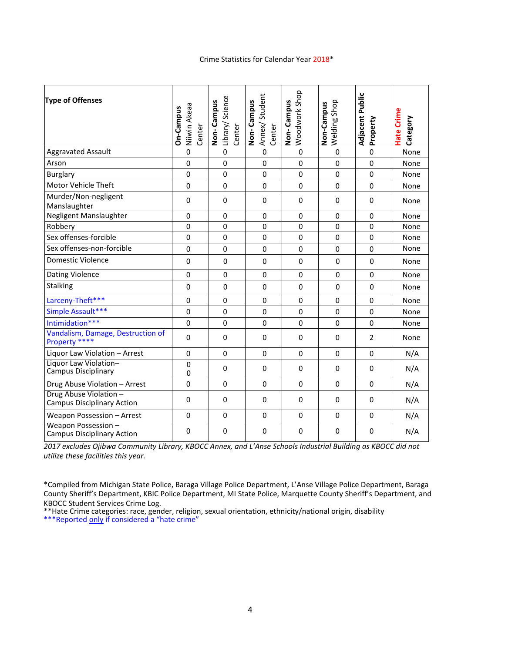# Crime Statistics for Calendar Year 2018\*

| <b>Type of Offenses</b>                                         | Niiwin Akeaa<br>On-Campus<br>Center | Library/ Science<br>Non-Campus<br>Center | Annex/Student<br>Non-Campus<br>Center | Woodwork Shop<br>Non-Campus | Welding Shop<br>Non-Campus | Adjacent Public<br>Property | Hate Crime<br>Category |
|-----------------------------------------------------------------|-------------------------------------|------------------------------------------|---------------------------------------|-----------------------------|----------------------------|-----------------------------|------------------------|
| <b>Aggravated Assault</b>                                       | 0                                   | $\mathbf 0$                              | $\mathbf 0$                           | $\mathbf 0$                 | $\mathbf 0$                | $\mathbf 0$                 | None                   |
| Arson                                                           | 0                                   | $\mathbf 0$                              | $\mathbf 0$                           | $\mathbf 0$                 | $\mathbf 0$                | 0                           | None                   |
| <b>Burglary</b>                                                 | 0                                   | $\Omega$                                 | $\mathbf 0$                           | 0                           | 0                          | $\Omega$                    | None                   |
| Motor Vehicle Theft                                             | 0                                   | $\pmb{0}$                                | $\mathbf 0$                           | $\mathbf 0$                 | 0                          | $\mathbf 0$                 | None                   |
| Murder/Non-negligent<br>Manslaughter                            | 0                                   | $\mathbf 0$                              | 0                                     | $\mathbf 0$                 | $\mathbf 0$                | 0                           | None                   |
| Negligent Manslaughter                                          | $\Omega$                            | $\Omega$                                 | $\mathbf 0$                           | $\Omega$                    | $\Omega$                   | $\Omega$                    | None                   |
| Robbery                                                         | 0                                   | 0                                        | $\mathbf 0$                           | 0                           | 0                          | 0                           | None                   |
| Sex offenses-forcible                                           | 0                                   | $\mathbf 0$                              | $\mathbf 0$                           | $\mathbf 0$                 | $\mathbf 0$                | $\mathbf 0$                 | None                   |
| Sex offenses-non-forcible                                       | 0                                   | $\pmb{0}$                                | $\mathbf 0$                           | $\mathbf 0$                 | 0                          | $\mathbf 0$                 | None                   |
| <b>Domestic Violence</b>                                        | 0                                   | $\Omega$                                 | $\mathbf 0$                           | $\mathbf 0$                 | 0                          | $\mathbf{0}$                | None                   |
| Dating Violence                                                 | $\Omega$                            | $\mathbf{0}$                             | $\mathbf 0$                           | $\mathbf 0$                 | $\Omega$                   | $\Omega$                    | None                   |
| Stalking                                                        | $\Omega$                            | $\mathbf{0}$                             | $\mathbf{0}$                          | $\Omega$                    | $\Omega$                   | $\Omega$                    | None                   |
| Larceny-Theft***                                                | $\Omega$                            | 0                                        | $\mathbf{0}$                          | $\Omega$                    | 0                          | $\mathbf{0}$                | None                   |
| Simple Assault***                                               | 0                                   | $\mathbf 0$                              | 0                                     | $\mathbf 0$                 | 0                          | $\mathbf{0}$                | None                   |
| Intimidation***                                                 | 0                                   | $\pmb{0}$                                | 0                                     | $\mathbf 0$                 | 0                          | $\mathbf{0}$                | None                   |
| Vandalism, Damage, Destruction of<br>Property ****              | 0                                   | $\mathbf 0$                              | 0                                     | 0                           | 0                          | 2                           | None                   |
| Liquor Law Violation - Arrest                                   | 0                                   | $\mathbf 0$                              | $\mathbf 0$                           | $\mathbf 0$                 | $\mathbf 0$                | $\mathbf 0$                 | N/A                    |
| Liquor Law Violation-<br><b>Campus Disciplinary</b>             | 0<br>0                              | $\mathbf{0}$                             | $\mathbf{0}$                          | $\Omega$                    | $\mathbf{0}$               | $\Omega$                    | N/A                    |
| Drug Abuse Violation - Arrest                                   | 0                                   | $\Omega$                                 | $\Omega$                              | $\mathbf 0$                 | $\mathbf{0}$               | $\Omega$                    | N/A                    |
| Drug Abuse Violation -<br><b>Campus Disciplinary Action</b>     | 0                                   | $\mathbf 0$                              | 0                                     | $\Omega$                    | 0                          | 0                           | N/A                    |
| Weapon Possession - Arrest                                      | 0                                   | $\pmb{0}$                                | $\mathbf 0$                           | $\mathbf 0$                 | 0                          | $\mathbf{0}$                | N/A                    |
| <b>Weapon Possession -</b><br><b>Campus Disciplinary Action</b> | 0                                   | 0                                        | 0                                     | 0                           | 0                          | 0                           | N/A                    |

*2017 excludes Ojibwa Community Library, KBOCC Annex, and L'Anse Schools Industrial Building as KBOCC did not utilize these facilities this year.*

\*Compiled from Michigan State Police, Baraga Village Police Department, L'Anse Village Police Department, Baraga County Sheriff's Department, KBIC Police Department, MI State Police, Marquette County Sheriff's Department, and KBOCC Student Services Crime Log.

\*\*Hate Crime categories: race, gender, religion, sexual orientation, ethnicity/national origin, disability

\*\*\*Reported only if considered a "hate crime"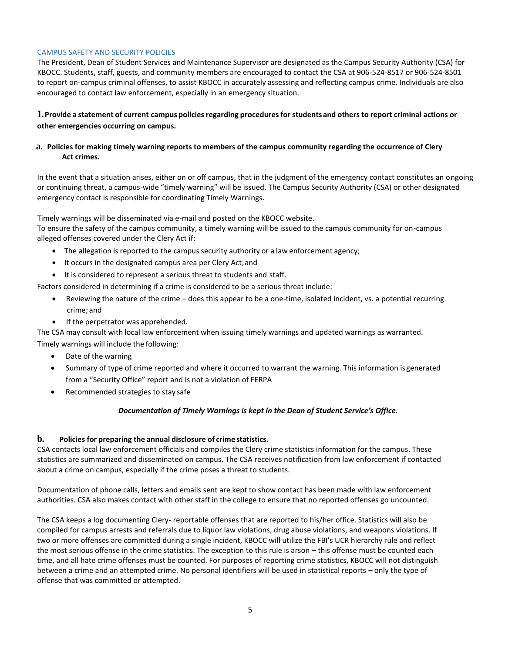#### CAMPUS SAFETY AND SECURITY POLICIES

The President, Dean of Student Services and Maintenance Supervisor are designated as the Campus Security Authority (CSA) for KBOCC. Students, staff, guests, and community members are encouraged to contact the CSA at 906-524-8517 or 906-524-8501 to report on-campus criminal offenses, to assist KBOCC in accurately assessing and reflecting campus crime. Individuals are also encouraged to contact law enforcement, especially in an emergency situation.

# 1. Provide a statement of current campus policies regarding procedures for students and others to report criminal actions or **other emergencies occurring on campus.**

## **a. Policies for making timely warning reports to members of the campus community regarding the occurrence of Clery Act crimes.**

In the event that a situation arises, either on or off campus, that in the judgment of the emergency contact constitutes an ongoing or continuing threat, a campus-wide "timely warning" will be issued. The Campus Security Authority (CSA) or other designated emergency contact is responsible for coordinating Timely Warnings.

Timely warnings will be disseminated via e-mail and posted on the KBOCC website.

To ensure the safety of the campus community, a timely warning will be issued to the campus community for on-campus alleged offenses covered under the Clery Act if:

- The allegation is reported to the campus security authority or a law enforcement agency;
- It occurs in the designated campus area per Clery Act;and
- It is considered to represent a serious threat to students and staff.

Factors considered in determining if a crime is considered to be a serious threat include:

- Reviewing the nature of the crime does this appear to be a one-time, isolated incident, vs. a potential recurring crime; and
- If the perpetrator was apprehended.

The CSA may consult with local law enforcement when issuing timely warnings and updated warnings as warranted. Timely warnings will include the following:

- Date of the warning
- Summary of type of crime reported and where it occurred to warrant the warning. This information is generated from a "Security Office" report and is not a violation of FERPA
- Recommended strategies to stay safe

#### *Documentation of Timely Warnings is kept in the Dean of Student Service's Office.*

#### **b. Policies for preparing the annual disclosure of crime statistics.**

CSA contacts local law enforcement officials and compiles the Clery crime statistics information for the campus. These statistics are summarized and disseminated on campus. The CSA receives notification from law enforcement if contacted about a crime on campus, especially if the crime poses a threat to students.

Documentation of phone calls, letters and emails sent are kept to show contact has been made with law enforcement authorities. CSA also makes contact with other staff in the college to ensure that no reported offenses go uncounted.

The CSA keeps a log documenting Clery- reportable offenses that are reported to his/her office. Statistics will also be compiled for campus arrests and referrals due to liquor law violations, drug abuse violations, and weapons violations. If two or more offenses are committed during a single incident, KBOCC will utilize the FBI's UCR hierarchy rule and reflect the most serious offense in the crime statistics. The exception to this rule is arson – this offense must be counted each time, and all hate crime offenses must be counted. For purposes of reporting crime statistics, KBOCC will not distinguish between a crime and an attempted crime. No personal identifiers will be used in statistical reports – only the type of offense that was committed or attempted.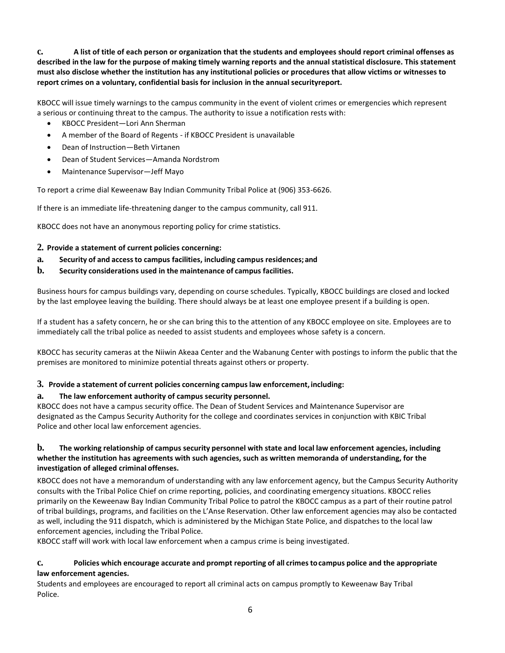**c. A list of title of each person or organization that the students and employees should report criminal offenses as described in the law for the purpose of making timely warning reports and the annual statistical disclosure. This statement must also disclose whether the institution has any institutional policies or procedures that allow victims or witnesses to report crimes on a voluntary, confidential basis for inclusion in the annual securityreport.**

KBOCC will issue timely warnings to the campus community in the event of violent crimes or emergencies which represent a serious or continuing threat to the campus. The authority to issue a notification rests with:

- KBOCC President—Lori Ann Sherman
- A member of the Board of Regents if KBOCC President is unavailable
- Dean of Instruction—Beth Virtanen
- Dean of Student Services—Amanda Nordstrom
- Maintenance Supervisor—Jeff Mayo

To report a crime dial Keweenaw Bay Indian Community Tribal Police at (906) 353-6626.

If there is an immediate life-threatening danger to the campus community, call 911.

KBOCC does not have an anonymous reporting policy for crime statistics.

#### **2. Provide a statement of current policies concerning:**

- **a. Security of and accessto campus facilities, including campus residences;and**
- **b. Security considerations used in the maintenance of campus facilities.**

Business hours for campus buildings vary, depending on course schedules. Typically, KBOCC buildings are closed and locked by the last employee leaving the building. There should always be at least one employee present if a building is open.

If a student has a safety concern, he or she can bring this to the attention of any KBOCC employee on site. Employees are to immediately call the tribal police as needed to assist students and employees whose safety is a concern.

KBOCC has security cameras at the Niiwin Akeaa Center and the Wabanung Center with postings to inform the public that the premises are monitored to minimize potential threats against others or property.

#### **3. Provide a statement of current policies concerning campuslaw enforcement, including:**

#### **a. The law enforcement authority of campus security personnel.**

KBOCC does not have a campus security office. The Dean of Student Services and Maintenance Supervisor are designated as the Campus Security Authority for the college and coordinates services in conjunction with KBIC Tribal Police and other local law enforcement agencies.

# b. The working relationship of campus security personnel with state and local law enforcement agencies, including **whether the institution has agreements with such agencies, such as written memoranda of understanding, for the investigation of alleged criminal offenses.**

KBOCC does not have a memorandum of understanding with any law enforcement agency, but the Campus Security Authority consults with the Tribal Police Chief on crime reporting, policies, and coordinating emergency situations. KBOCC relies primarily on the Keweenaw Bay Indian Community Tribal Police to patrol the KBOCC campus as a part of their routine patrol of tribal buildings, programs, and facilities on the L'Anse Reservation. Other law enforcement agencies may also be contacted as well, including the 911 dispatch, which is administered by the Michigan State Police, and dispatches to the local law enforcement agencies, including the Tribal Police.

KBOCC staff will work with local law enforcement when a campus crime is being investigated.

#### **c. Policies which encourage accurate and prompt reporting of all crimestocampus police and the appropriate law enforcement agencies.**

Students and employees are encouraged to report all criminal acts on campus promptly to Keweenaw Bay Tribal Police.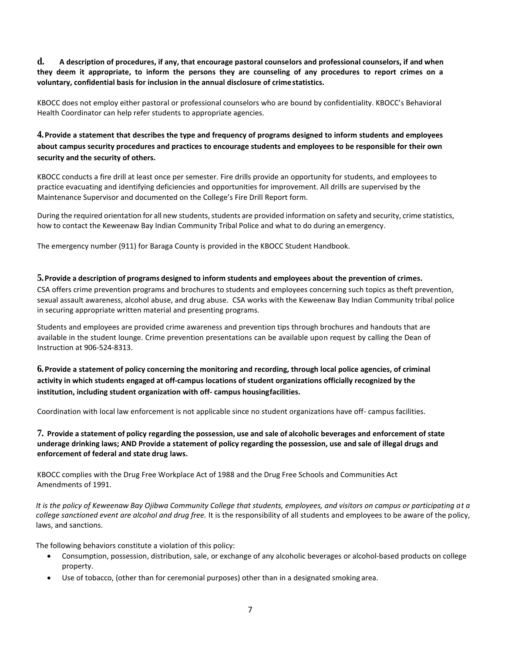**d. A description of procedures, if any, that encourage pastoral counselors and professional counselors, if and when they deem it appropriate, to inform the persons they are counseling of any procedures to report crimes on a voluntary, confidential basis for inclusion in the annual disclosure of crimestatistics.**

KBOCC does not employ either pastoral or professional counselors who are bound by confidentiality. KBOCC's Behavioral Health Coordinator can help refer students to appropriate agencies.

**4.Provide a statement that describes the type and frequency of programs designed to inform students and employees about campus security procedures and practices to encourage students and employees to be responsible for their own security and the security of others.**

KBOCC conducts a fire drill at least once per semester. Fire drills provide an opportunity for students, and employees to practice evacuating and identifying deficiencies and opportunities for improvement. All drills are supervised by the Maintenance Supervisor and documented on the College's Fire Drill Report form.

During the required orientation for all new students, students are provided information on safety and security, crime statistics, how to contact the Keweenaw Bay Indian Community Tribal Police and what to do during an emergency.

The emergency number (911) for Baraga County is provided in the KBOCC Student Handbook.

#### **5.Provide a description of programs designed to inform students and employees about the prevention of crimes.**

CSA offers crime prevention programs and brochures to students and employees concerning such topics as theft prevention, sexual assault awareness, alcohol abuse, and drug abuse. CSA works with the Keweenaw Bay Indian Community tribal police in securing appropriate written material and presenting programs.

Students and employees are provided crime awareness and prevention tips through brochures and handouts that are available in the student lounge. Crime prevention presentations can be available upon request by calling the Dean of Instruction at 906-524-8313.

# **6.Provide a statement of policy concerning the monitoring and recording, through local police agencies, of criminal activity in which students engaged at off-campus locations of student organizations officially recognized by the institution, including student organization with off- campus housingfacilities.**

Coordination with local law enforcement is not applicable since no student organizations have off- campus facilities.

## 7. Provide a statement of policy regarding the possession, use and sale of alcoholic beverages and enforcement of state **underage drinking laws; AND Provide a statement of policy regarding the possession, use and sale of illegal drugs and enforcement of federal and state drug laws.**

KBOCC complies with the Drug Free Workplace Act of 1988 and the Drug Free Schools and Communities Act Amendments of 1991.

*It is the policy of Keweenaw Bay Ojibwa Community College that students, employees, and visitors on campus or participating at a college sanctioned event are alcohol and drug free.* It is the responsibility of all students and employees to be aware of the policy, laws, and sanctions.

The following behaviors constitute a violation of this policy:

- Consumption, possession, distribution, sale, or exchange of any alcoholic beverages or alcohol-based products on college property.
- Use of tobacco, (other than for ceremonial purposes) other than in a designated smoking area.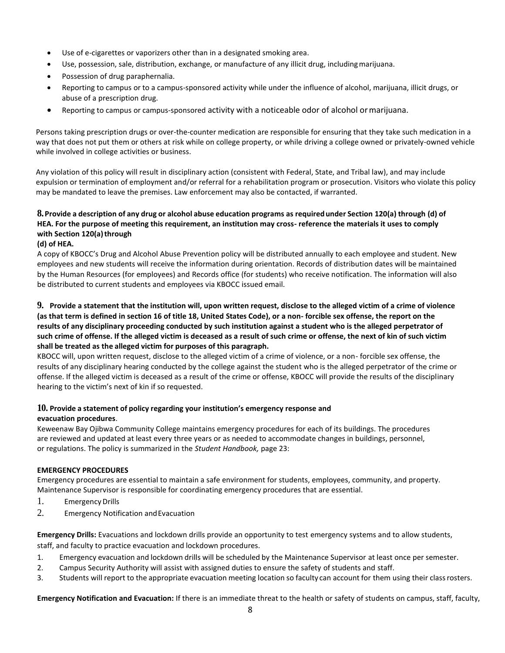- Use of e-cigarettes or vaporizers other than in a designated smoking area.
- Use, possession, sale, distribution, exchange, or manufacture of any illicit drug, includingmarijuana.
- Possession of drug paraphernalia.
- Reporting to campus or to a campus-sponsored activity while under the influence of alcohol, marijuana, illicit drugs, or abuse of a prescription drug.
- Reporting to campus or campus-sponsored activity with a noticeable odor of alcohol ormarijuana.

Persons taking prescription drugs or over-the-counter medication are responsible for ensuring that they take such medication in a way that does not put them or others at risk while on college property, or while driving a college owned or privately-owned vehicle while involved in college activities or business.

Any violation of this policy will result in disciplinary action (consistent with Federal, State, and Tribal law), and may include expulsion or termination of employment and/or referral for a rehabilitation program or prosecution. Visitors who violate this policy may be mandated to leave the premises. Law enforcement may also be contacted, if warranted.

# 8. Provide a description of any drug or alcohol abuse education programs as required under Section 120(a) through (d) of **HEA. For the purpose of meeting this requirement, an institution may cross- reference the materials it uses to comply with Section 120(a)through**

#### **(d) of HEA.**

A copy of KBOCC's Drug and Alcohol Abuse Prevention policy will be distributed annually to each employee and student. New employees and new students will receive the information during orientation. Records of distribution dates will be maintained by the Human Resources (for employees) and Records office (for students) who receive notification. The information will also be distributed to current students and employees via KBOCC issued email.

## **9. Provide a statement that the institution will, upon written request, disclose to the alleged victim of a crime of violence (as that term is defined in section 16 of title 18, United States Code), or a non- forcible sex offense, the report on the results of any disciplinary proceeding conducted by such institution against a student who is the alleged perpetrator of such crime of offense. If the alleged victim is deceased as a result of such crime or offense, the next of kin of such victim shall be treated as the alleged victim for purposes of this paragraph.**

KBOCC will, upon written request, disclose to the alleged victim of a crime of violence, or a non- forcible sex offense, the results of any disciplinary hearing conducted by the college against the student who is the alleged perpetrator of the crime or offense. If the alleged victim is deceased as a result of the crime or offense, KBOCC will provide the results of the disciplinary hearing to the victim's next of kin if so requested.

#### **10. Provide a statement of policy regarding your institution's emergency response and evacuation procedures**.

Keweenaw Bay Ojibwa Community College maintains emergency procedures for each of its buildings. The procedures are reviewed and updated at least every three years or as needed to accommodate changes in buildings, personnel, or regulations. The policy is summarized in the *Student Handbook,* page 23:

#### **EMERGENCY PROCEDURES**

Emergency procedures are essential to maintain a safe environment for students, employees, community, and property. Maintenance Supervisor is responsible for coordinating emergency procedures that are essential.

- 1. EmergencyDrills
- 2. Emergency Notification andEvacuation

**Emergency Drills:** Evacuations and lockdown drills provide an opportunity to test emergency systems and to allow students, staff, and faculty to practice evacuation and lockdown procedures.

- 1. Emergency evacuation and lockdown drills will be scheduled by the Maintenance Supervisor at least once per semester.
- 2. Campus Security Authority will assist with assigned duties to ensure the safety of students and staff.
- 3. Students will report to the appropriate evacuation meeting location so faculty can account for them using their classrosters.

**Emergency Notification and Evacuation:** If there is an immediate threat to the health or safety of students on campus, staff, faculty,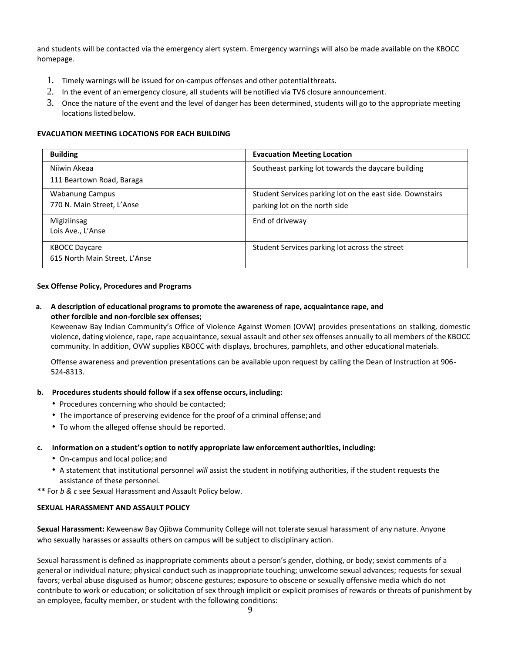and students will be contacted via the emergency alert system. Emergency warnings will also be made available on the KBOCC homepage.

- 1. Timely warnings will be issued for on-campus offenses and other potentialthreats.
- 2. In the event of an emergency closure, all students will be notified via TV6 closure announcement.
- 3. Once the nature of the event and the level of danger has been determined, students will go to the appropriate meeting locations listed below.

#### **EVACUATION MEETING LOCATIONS FOR EACH BUILDING**

| <b>Building</b>                                       | <b>Evacuation Meeting Location</b>                                                         |
|-------------------------------------------------------|--------------------------------------------------------------------------------------------|
| Niiwin Akeaa<br>111 Beartown Road, Baraga             | Southeast parking lot towards the daycare building                                         |
| <b>Wabanung Campus</b><br>770 N. Main Street, L'Anse  | Student Services parking lot on the east side. Downstairs<br>parking lot on the north side |
| Migiziinsag<br>Lois Ave., L'Anse                      | End of driveway                                                                            |
| <b>KBOCC Daycare</b><br>615 North Main Street, L'Anse | Student Services parking lot across the street                                             |

#### **Sex Offense Policy, Procedures and Programs**

## **a. A description of educational programs to promote the awareness of rape, acquaintance rape, and other forcible and non-forcible sex offenses;**

Keweenaw Bay Indian Community's Office of Violence Against Women (OVW) provides presentations on stalking, domestic violence, dating violence, rape, rape acquaintance, sexual assault and other sex offenses annually to all members of the KBOCC community. In addition, OVW supplies KBOCC with displays, brochures, pamphlets, and other educationalmaterials.

Offense awareness and prevention presentations can be available upon request by calling the Dean of Instruction at 906- 524-8313.

#### **b. Proceduresstudents should follow if a sex offense occurs, including:**

- Procedures concerning who should be contacted;
- The importance of preserving evidence for the proof of a criminal offense;and
- To whom the alleged offense should be reported.

#### **c. Information on a student's option to notify appropriate law enforcement authorities, including:**

- On-campus and local police; and
- A statement that institutional personnel *will* assist the student in notifying authorities, if the student requests the assistance of these personnel.

**\*\*** For *b & c* see Sexual Harassment and Assault Policy below.

#### **SEXUAL HARASSMENT AND ASSAULT POLICY**

**Sexual Harassment:** Keweenaw Bay Ojibwa Community College will not tolerate sexual harassment of any nature. Anyone who sexually harasses or assaults others on campus will be subject to disciplinary action.

Sexual harassment is defined as inappropriate comments about a person's gender, clothing, or body; sexist comments of a general or individual nature; physical conduct such as inappropriate touching; unwelcome sexual advances; requests for sexual favors; verbal abuse disguised as humor; obscene gestures; exposure to obscene or sexually offensive media which do not contribute to work or education; or solicitation of sex through implicit or explicit promises of rewards or threats of punishment by an employee, faculty member, or student with the following conditions: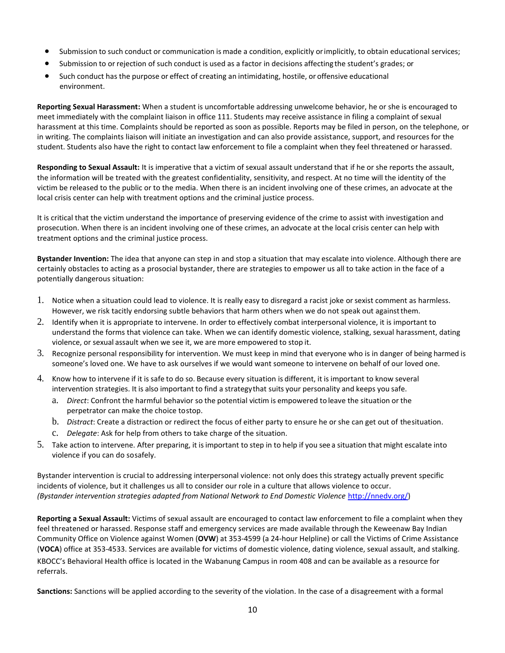- Submission to such conduct or communication is made a condition, explicitly orimplicitly, to obtain educational services;
- Submission to or rejection of such conduct is used as a factor in decisions affecting the student's grades; or
- Such conduct has the purpose or effect of creating an intimidating, hostile, or offensive educational environment.

**Reporting Sexual Harassment:** When a student is uncomfortable addressing unwelcome behavior, he or she is encouraged to meet immediately with the complaint liaison in office 111. Students may receive assistance in filing a complaint of sexual harassment at this time. Complaints should be reported as soon as possible. Reports may be filed in person, on the telephone, or in writing. The complaints liaison will initiate an investigation and can also provide assistance, support, and resources for the student. Students also have the right to contact law enforcement to file a complaint when they feel threatened or harassed.

**Responding to Sexual Assault:** It is imperative that a victim of sexual assault understand that if he or she reports the assault, the information will be treated with the greatest confidentiality, sensitivity, and respect. At no time will the identity of the victim be released to the public or to the media. When there is an incident involving one of these crimes, an advocate at the local crisis center can help with treatment options and the criminal justice process.

It is critical that the victim understand the importance of preserving evidence of the crime to assist with investigation and prosecution. When there is an incident involving one of these crimes, an advocate at the local crisis center can help with treatment options and the criminal justice process.

**Bystander Invention:** The idea that anyone can step in and stop a situation that may escalate into violence. Although there are certainly obstacles to acting as a prosocial bystander, there are strategies to empower us all to take action in the face of a potentially dangerous situation:

- 1. Notice when a situation could lead to violence. It is really easy to disregard a racist joke or sexist comment as harmless. However, we risk tacitly endorsing subtle behaviors that harm others when we do not speak out againstthem.
- 2. Identify when it is appropriate to intervene. In order to effectively combat interpersonal violence, it is important to understand the forms that violence can take. When we can identify domestic violence, stalking, sexual harassment, dating violence, or sexual assault when we see it, we are more empowered to stop it.
- 3. Recognize personal responsibility for intervention. We must keep in mind that everyone who is in danger of being harmed is someone's loved one. We have to ask ourselves if we would want someone to intervene on behalf of our loved one.
- 4. Know how to intervene if it is safe to do so. Because every situation is different, it is important to know several intervention strategies. It is also important to find a strategythat suits your personality and keeps you safe.
	- a. *Direct*: Confront the harmful behavior so the potential victim is empowered to leave the situation or the perpetrator can make the choice tostop.
	- b. *Distract*: Create a distraction or redirect the focus of either party to ensure he or she can get out of thesituation.
	- c. *Delegate*: Ask for help from others to take charge of the situation.
- 5. Take action to intervene. After preparing, it isimportant to step in to help if you see a situation that might escalate into violence if you can do sosafely.

Bystander intervention is crucial to addressing interpersonal violence: not only does this strategy actually prevent specific incidents of violence, but it challenges us all to consider our role in a culture that allows violence to occur. *(Bystander intervention strategies adapted from National Network to End Domestic Violence* [http://nnedv.org/\)](http://nnedv.org/)

**Reporting a Sexual Assault:** Victims of sexual assault are encouraged to contact law enforcement to file a complaint when they feel threatened or harassed. Response staff and emergency services are made available through the Keweenaw Bay Indian Community Office on Violence against Women (**OVW**) at 353-4599 (a 24-hour Helpline) or call the Victims of Crime Assistance (**VOCA**) office at 353-4533. Services are available for victims of domestic violence, dating violence, sexual assault, and stalking. KBOCC's Behavioral Health office is located in the Wabanung Campus in room 408 and can be available as a resource for referrals.

**Sanctions:** Sanctions will be applied according to the severity of the violation. In the case of a disagreement with a formal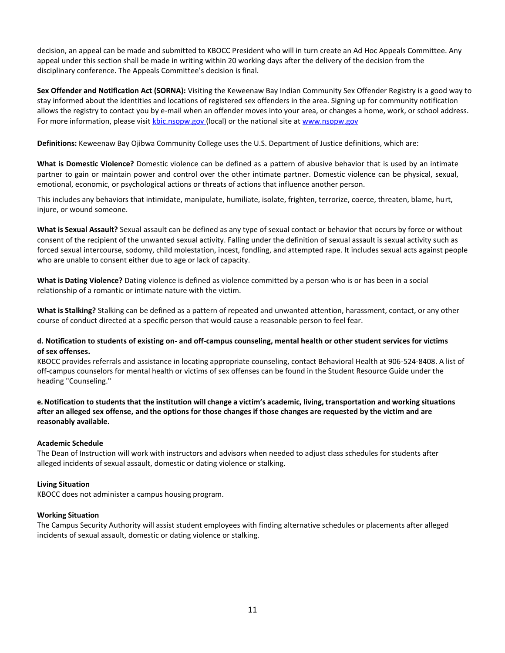decision, an appeal can be made and submitted to KBOCC President who will in turn create an Ad Hoc Appeals Committee. Any appeal under this section shall be made in writing within 20 working days after the delivery of the decision from the disciplinary conference. The Appeals Committee's decision is final.

**Sex Offender and Notification Act (SORNA):** Visiting the Keweenaw Bay Indian Community Sex Offender Registry is a good way to stay informed about the identities and locations of registered sex offenders in the area. Signing up for community notification allows the registry to contact you by e-mail when an offender moves into your area, or changes a home, work, or school address. For more information, please visit [kbic.nsopw.gov \(](http://kbic.nsopw.gov/)local) or the national site a[t www.nsopw.gov](http://www.nsopw.gov/)

**Definitions:** Keweenaw Bay Ojibwa Community College uses the U.S. Department of Justice definitions, which are:

**What is Domestic Violence?** Domestic violence can be defined as a pattern of abusive behavior that is used by an intimate partner to gain or maintain power and control over the other intimate partner. Domestic violence can be physical, sexual, emotional, economic, or psychological actions or threats of actions that influence another person.

This includes any behaviors that intimidate, manipulate, humiliate, isolate, frighten, terrorize, coerce, threaten, blame, hurt, injure, or wound someone.

**What is Sexual Assault?** Sexual assault can be defined as any type of sexual contact or behavior that occurs by force or without consent of the recipient of the unwanted sexual activity. Falling under the definition of sexual assault is sexual activity such as forced sexual intercourse, sodomy, child molestation, incest, fondling, and attempted rape. It includes sexual acts against people who are unable to consent either due to age or lack of capacity.

**What is Dating Violence?** Dating violence is defined as violence committed by a person who is or has been in a social relationship of a romantic or intimate nature with the victim.

**What is Stalking?** Stalking can be defined as a pattern of repeated and unwanted attention, harassment, contact, or any other course of conduct directed at a specific person that would cause a reasonable person to feel fear.

#### **d. Notification to students of existing on- and off-campus counseling, mental health or other student services for victims of sex offenses.**

KBOCC provides referrals and assistance in locating appropriate counseling, contact Behavioral Health at 906-524-8408. A list of off-campus counselors for mental health or victims of sex offenses can be found in the Student Resource Guide under the heading "Counseling."

e. Notification to students that the institution will change a victim's academic, living, transportation and working situations **after an alleged sex offense, and the options for those changes if those changes are requested by the victim and are reasonably available.**

#### **Academic Schedule**

The Dean of Instruction will work with instructors and advisors when needed to adjust class schedules for students after alleged incidents of sexual assault, domestic or dating violence or stalking.

#### **Living Situation**

KBOCC does not administer a campus housing program.

#### **Working Situation**

The Campus Security Authority will assist student employees with finding alternative schedules or placements after alleged incidents of sexual assault, domestic or dating violence or stalking.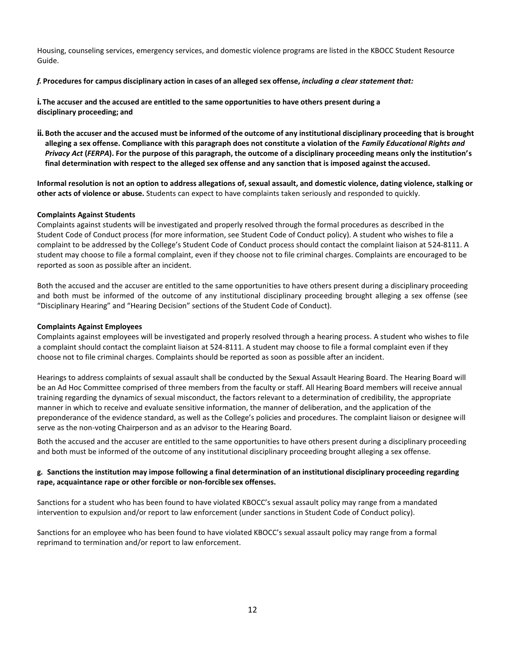Housing, counseling services, emergency services, and domestic violence programs are listed in the KBOCC Student Resource Guide.

# f. Procedures for campus disciplinary action in cases of an alleged sex offense, including a clear statement that:

**i. The accuser and the accused are entitled to the same opportunities to have others present during a disciplinary proceeding; and**

ii. Both the accuser and the accused must be informed of the outcome of any institutional disciplinary proceeding that is brought **alleging a sex offense. Compliance with this paragraph does not constitute a violation of the** *Family Educational Rights and Privacy Act* **(***FERPA***). For the purpose of this paragraph, the outcome of a disciplinary proceeding means only the institution's final determination with respect to the alleged sex offense and any sanction that is imposed against the accused.**

**Informal resolution is not an option to address allegations of, sexual assault, and domestic violence, dating violence, stalking or other acts of violence or abuse.** Students can expect to have complaints taken seriously and responded to quickly.

#### **Complaints Against Students**

Complaints against students will be investigated and properly resolved through the formal procedures as described in the Student Code of Conduct process (for more information, see Student Code of Conduct policy). A student who wishes to file a complaint to be addressed by the College's Student Code of Conduct process should contact the complaint liaison at 524-8111. A student may choose to file a formal complaint, even if they choose not to file criminal charges. Complaints are encouraged to be reported as soon as possible after an incident.

Both the accused and the accuser are entitled to the same opportunities to have others present during a disciplinary proceeding and both must be informed of the outcome of any institutional disciplinary proceeding brought alleging a sex offense (see "Disciplinary Hearing" and "Hearing Decision" sections of the Student Code of Conduct).

#### **Complaints Against Employees**

Complaints against employees will be investigated and properly resolved through a hearing process. A student who wishes to file a complaint should contact the complaint liaison at 524-8111. A student may choose to file a formal complaint even if they choose not to file criminal charges. Complaints should be reported as soon as possible after an incident.

Hearings to address complaints of sexual assault shall be conducted by the Sexual Assault Hearing Board. The Hearing Board will be an Ad Hoc Committee comprised of three members from the faculty or staff. All Hearing Board members will receive annual training regarding the dynamics of sexual misconduct, the factors relevant to a determination of credibility, the appropriate manner in which to receive and evaluate sensitive information, the manner of deliberation, and the application of the preponderance of the evidence standard, as well as the College's policies and procedures. The complaint liaison or designee will serve as the non-voting Chairperson and as an advisor to the Hearing Board.

Both the accused and the accuser are entitled to the same opportunities to have others present during a disciplinary proceeding and both must be informed of the outcome of any institutional disciplinary proceeding brought alleging a sex offense.

#### g. Sanctions the institution may impose following a final determination of an institutional disciplinary proceeding regarding **rape, acquaintance rape or other forcible or non-forcible sex offenses.**

Sanctions for a student who has been found to have violated KBOCC's sexual assault policy may range from a mandated intervention to expulsion and/or report to law enforcement (under sanctions in Student Code of Conduct policy).

Sanctions for an employee who has been found to have violated KBOCC's sexual assault policy may range from a formal reprimand to termination and/or report to law enforcement.